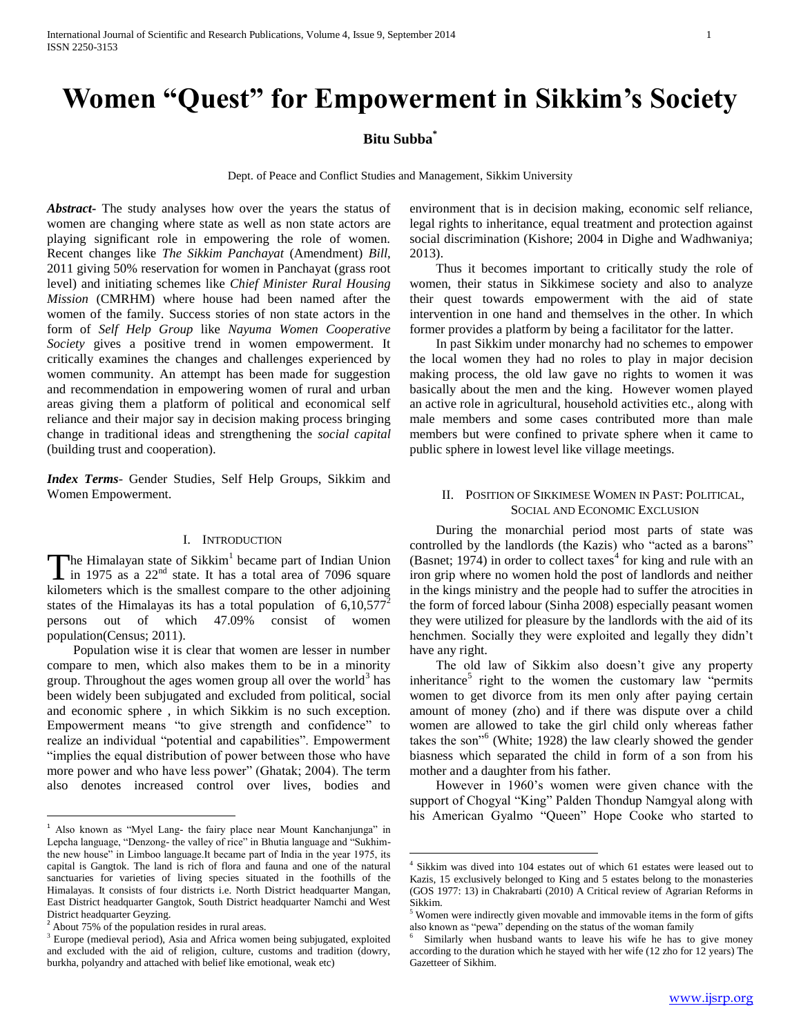# **Women "Quest" for Empowerment in Sikkim's Society**

## **Bitu Subba\***

Dept. of Peace and Conflict Studies and Management, Sikkim University

 $\overline{a}$ 

*Abstract***-** The study analyses how over the years the status of women are changing where state as well as non state actors are playing significant role in empowering the role of women. Recent changes like *The Sikkim Panchayat* (Amendment) *Bill*, 2011 giving 50% reservation for women in Panchayat (grass root level) and initiating schemes like *Chief Minister Rural Housing Mission* (CMRHM) where house had been named after the women of the family. Success stories of non state actors in the form of *Self Help Group* like *Nayuma Women Cooperative Society* gives a positive trend in women empowerment. It critically examines the changes and challenges experienced by women community. An attempt has been made for suggestion and recommendation in empowering women of rural and urban areas giving them a platform of political and economical self reliance and their major say in decision making process bringing change in traditional ideas and strengthening the *social capital* (building trust and cooperation).

*Index Terms*- Gender Studies, Self Help Groups, Sikkim and Women Empowerment.

## I. INTRODUCTION

The Himalayan state of Sikkim<sup>1</sup> became part of Indian Union became part of Indian Union in 1975 as a  $22<sup>nd</sup>$  state. It has a total area of 7096 square The Himalayan state of Sikkim<sup>1</sup> became part of Indian Union<br>in 1975 as a  $22<sup>nd</sup>$  state. It has a total area of 7096 square<br>kilometers which is the smallest compare to the other adjoining states of the Himalayas its has a total population of  $6,10,577^2$ persons out of which 47.09% consist of women population(Census; 2011).

 Population wise it is clear that women are lesser in number compare to men, which also makes them to be in a minority group. Throughout the ages women group all over the world<sup>3</sup> has been widely been subjugated and excluded from political, social and economic sphere , in which Sikkim is no such exception. Empowerment means "to give strength and confidence" to realize an individual "potential and capabilities". Empowerment "implies the equal distribution of power between those who have more power and who have less power" (Ghatak; 2004). The term also denotes increased control over lives, bodies and

 $\overline{a}$ 

environment that is in decision making, economic self reliance, legal rights to inheritance, equal treatment and protection against social discrimination (Kishore; 2004 in Dighe and Wadhwaniya; 2013).

 Thus it becomes important to critically study the role of women, their status in Sikkimese society and also to analyze their quest towards empowerment with the aid of state intervention in one hand and themselves in the other. In which former provides a platform by being a facilitator for the latter.

 In past Sikkim under monarchy had no schemes to empower the local women they had no roles to play in major decision making process, the old law gave no rights to women it was basically about the men and the king. However women played an active role in agricultural, household activities etc., along with male members and some cases contributed more than male members but were confined to private sphere when it came to public sphere in lowest level like village meetings.

## II. POSITION OF SIKKIMESE WOMEN IN PAST: POLITICAL, SOCIAL AND ECONOMIC EXCLUSION

 During the monarchial period most parts of state was controlled by the landlords (the Kazis) who "acted as a barons" (Basnet; 1974) in order to collect taxes<sup>4</sup> for king and rule with an iron grip where no women hold the post of landlords and neither in the kings ministry and the people had to suffer the atrocities in the form of forced labour (Sinha 2008) especially peasant women they were utilized for pleasure by the landlords with the aid of its henchmen. Socially they were exploited and legally they didn't have any right.

 The old law of Sikkim also doesn't give any property inheritance<sup>5</sup> right to the women the customary law "permits" women to get divorce from its men only after paying certain amount of money (zho) and if there was dispute over a child women are allowed to take the girl child only whereas father takes the son"<sup>6</sup> (White; 1928) the law clearly showed the gender biasness which separated the child in form of a son from his mother and a daughter from his father.

 However in 1960's women were given chance with the support of Chogyal "King" Palden Thondup Namgyal along with his American Gyalmo "Queen" Hope Cooke who started to

<sup>&</sup>lt;sup>1</sup> Also known as "Myel Lang- the fairy place near Mount Kanchanjunga" in Lepcha language, "Denzong- the valley of rice" in Bhutia language and "Sukhimthe new house" in Limboo language.It became part of India in the year 1975, its capital is Gangtok. The land is rich of flora and fauna and one of the natural sanctuaries for varieties of living species situated in the foothills of the Himalayas. It consists of four districts i.e. North District headquarter Mangan, East District headquarter Gangtok, South District headquarter Namchi and West District headquarter Geyzing.

<sup>&</sup>lt;sup>2</sup> About 75% of the population resides in rural areas.

<sup>&</sup>lt;sup>3</sup> Europe (medieval period), Asia and Africa women being subjugated, exploited and excluded with the aid of religion, culture, customs and tradition (dowry, burkha, polyandry and attached with belief like emotional, weak etc)

<sup>4</sup> Sikkim was dived into 104 estates out of which 61 estates were leased out to Kazis, 15 exclusively belonged to King and 5 estates belong to the monasteries (GOS 1977: 13) in Chakrabarti (2010) A Critical review of Agrarian Reforms in Sikkim.

<sup>&</sup>lt;sup>5</sup> Women were indirectly given movable and immovable items in the form of gifts also known as "pewa" depending on the status of the woman family

<sup>6</sup> Similarly when husband wants to leave his wife he has to give money according to the duration which he stayed with her wife (12 zho for 12 years) The Gazetteer of Sikhim.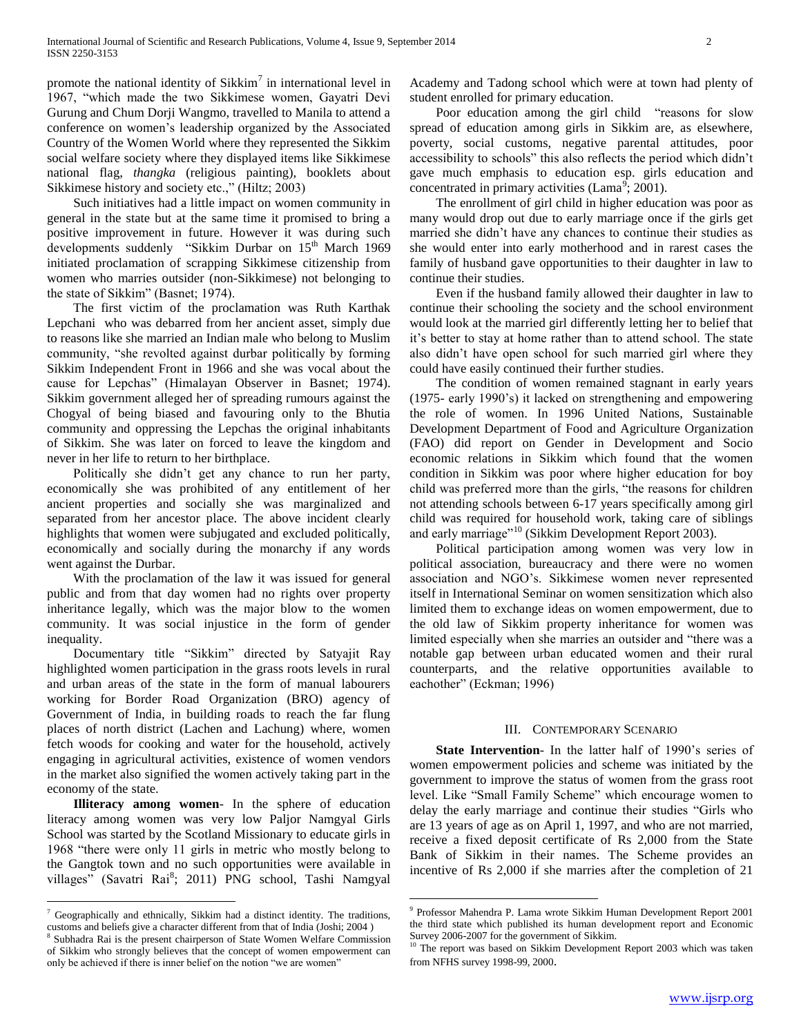promote the national identity of Sikkim<sup>7</sup> in international level in 1967, "which made the two Sikkimese women, Gayatri Devi Gurung and Chum Dorji Wangmo, travelled to Manila to attend a conference on women's leadership organized by the Associated Country of the Women World where they represented the Sikkim social welfare society where they displayed items like Sikkimese national flag, *thangka* (religious painting), booklets about Sikkimese history and society etc.," (Hiltz; 2003)

 Such initiatives had a little impact on women community in general in the state but at the same time it promised to bring a positive improvement in future. However it was during such developments suddenly "Sikkim Durbar on 15<sup>th</sup> March 1969 initiated proclamation of scrapping Sikkimese citizenship from women who marries outsider (non-Sikkimese) not belonging to the state of Sikkim" (Basnet; 1974).

 The first victim of the proclamation was Ruth Karthak Lepchani who was debarred from her ancient asset, simply due to reasons like she married an Indian male who belong to Muslim community, "she revolted against durbar politically by forming Sikkim Independent Front in 1966 and she was vocal about the cause for Lepchas" (Himalayan Observer in Basnet; 1974). Sikkim government alleged her of spreading rumours against the Chogyal of being biased and favouring only to the Bhutia community and oppressing the Lepchas the original inhabitants of Sikkim. She was later on forced to leave the kingdom and never in her life to return to her birthplace.

 Politically she didn't get any chance to run her party, economically she was prohibited of any entitlement of her ancient properties and socially she was marginalized and separated from her ancestor place. The above incident clearly highlights that women were subjugated and excluded politically, economically and socially during the monarchy if any words went against the Durbar.

 With the proclamation of the law it was issued for general public and from that day women had no rights over property inheritance legally, which was the major blow to the women community. It was social injustice in the form of gender inequality.

 Documentary title "Sikkim" directed by Satyajit Ray highlighted women participation in the grass roots levels in rural and urban areas of the state in the form of manual labourers working for Border Road Organization (BRO) agency of Government of India, in building roads to reach the far flung places of north district (Lachen and Lachung) where, women fetch woods for cooking and water for the household, actively engaging in agricultural activities, existence of women vendors in the market also signified the women actively taking part in the economy of the state.

 **Illiteracy among women**- In the sphere of education literacy among women was very low Paljor Namgyal Girls School was started by the Scotland Missionary to educate girls in 1968 "there were only 11 girls in metric who mostly belong to the Gangtok town and no such opportunities were available in villages" (Savatri Rai<sup>8</sup>; 2011) PNG school, Tashi Namgyal

 $\overline{a}$ 

Academy and Tadong school which were at town had plenty of student enrolled for primary education.

 Poor education among the girl child "reasons for slow spread of education among girls in Sikkim are, as elsewhere, poverty, social customs, negative parental attitudes, poor accessibility to schools" this also reflects the period which didn't gave much emphasis to education esp. girls education and concentrated in primary activities (Lama<sup>9</sup>; 2001).

 The enrollment of girl child in higher education was poor as many would drop out due to early marriage once if the girls get married she didn't have any chances to continue their studies as she would enter into early motherhood and in rarest cases the family of husband gave opportunities to their daughter in law to continue their studies.

 Even if the husband family allowed their daughter in law to continue their schooling the society and the school environment would look at the married girl differently letting her to belief that it's better to stay at home rather than to attend school. The state also didn't have open school for such married girl where they could have easily continued their further studies.

 The condition of women remained stagnant in early years (1975- early 1990's) it lacked on strengthening and empowering the role of women. In 1996 United Nations, Sustainable Development Department of Food and Agriculture Organization (FAO) did report on Gender in Development and Socio economic relations in Sikkim which found that the women condition in Sikkim was poor where higher education for boy child was preferred more than the girls, "the reasons for children not attending schools between 6-17 years specifically among girl child was required for household work, taking care of siblings and early marriage"<sup>10</sup> (Sikkim Development Report 2003).

 Political participation among women was very low in political association, bureaucracy and there were no women association and NGO's. Sikkimese women never represented itself in International Seminar on women sensitization which also limited them to exchange ideas on women empowerment, due to the old law of Sikkim property inheritance for women was limited especially when she marries an outsider and "there was a notable gap between urban educated women and their rural counterparts, and the relative opportunities available to eachother" (Eckman; 1996)

### III. CONTEMPORARY SCENARIO

 **State Intervention**- In the latter half of 1990's series of women empowerment policies and scheme was initiated by the government to improve the status of women from the grass root level. Like "Small Family Scheme" which encourage women to delay the early marriage and continue their studies "Girls who are 13 years of age as on April 1, 1997, and who are not married, receive a fixed deposit certificate of Rs 2,000 from the State Bank of Sikkim in their names. The Scheme provides an incentive of Rs 2,000 if she marries after the completion of 21

 $\overline{a}$ 

<sup>7</sup> Geographically and ethnically, Sikkim had a distinct identity. The traditions, customs and beliefs give a character different from that of India (Joshi; 2004 )

<sup>&</sup>lt;sup>8</sup> Subhadra Rai is the present chairperson of State Women Welfare Commission of Sikkim who strongly believes that the concept of women empowerment can only be achieved if there is inner belief on the notion "we are women"

<sup>9</sup> Professor Mahendra P. Lama wrote Sikkim Human Development Report 2001 the third state which published its human development report and Economic Survey 2006-2007 for the government of Sikkim.

The report was based on Sikkim Development Report 2003 which was taken from NFHS survey 1998-99, 2000.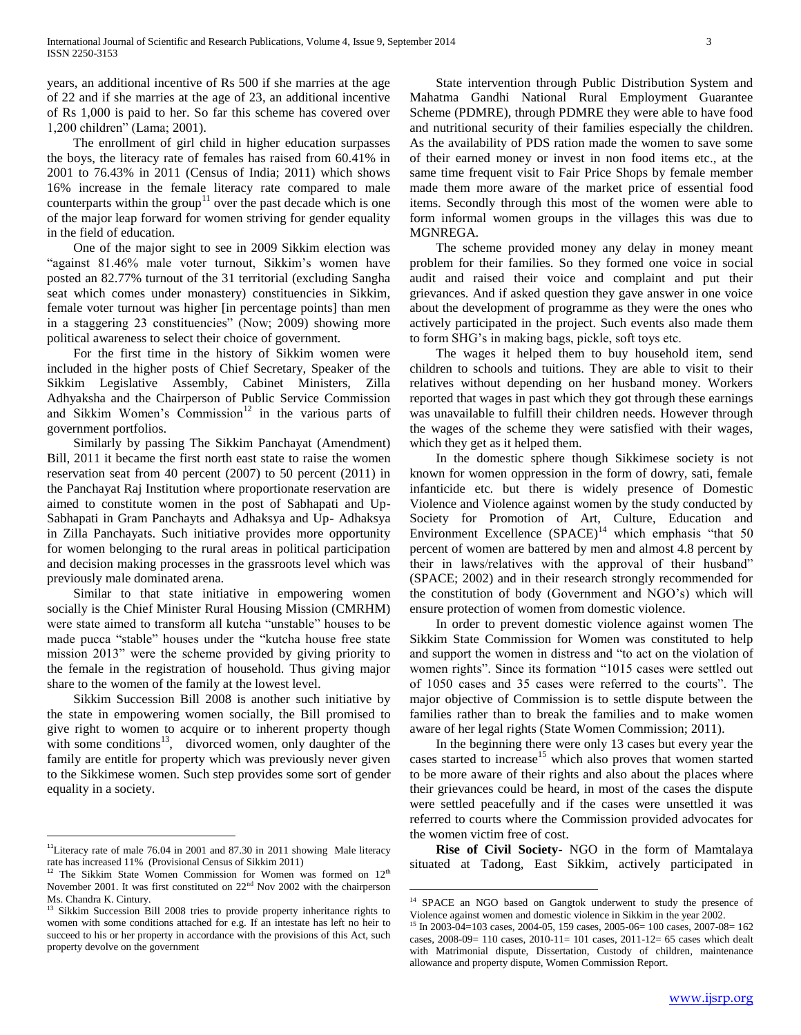years, an additional incentive of Rs 500 if she marries at the age of 22 and if she marries at the age of 23, an additional incentive of Rs 1,000 is paid to her. So far this scheme has covered over 1,200 children" (Lama; 2001).

 The enrollment of girl child in higher education surpasses the boys, the literacy rate of females has raised from 60.41% in 2001 to 76.43% in 2011 (Census of India; 2011) which shows 16% increase in the female literacy rate compared to male counterparts within the group<sup>11</sup> over the past decade which is one of the major leap forward for women striving for gender equality in the field of education.

 One of the major sight to see in 2009 Sikkim election was "against 81.46% male voter turnout, Sikkim's women have posted an 82.77% turnout of the 31 territorial (excluding Sangha seat which comes under monastery) constituencies in Sikkim, female voter turnout was higher [in percentage points] than men in a staggering 23 constituencies" (Now; 2009) showing more political awareness to select their choice of government.

 For the first time in the history of Sikkim women were included in the higher posts of Chief Secretary, Speaker of the Sikkim Legislative Assembly, Cabinet Ministers, Zilla Adhyaksha and the Chairperson of Public Service Commission and Sikkim Women's Commission<sup>12</sup> in the various parts of government portfolios.

 Similarly by passing The Sikkim Panchayat (Amendment) Bill, 2011 it became the first north east state to raise the women reservation seat from 40 percent (2007) to 50 percent (2011) in the Panchayat Raj Institution where proportionate reservation are aimed to constitute women in the post of Sabhapati and Up-Sabhapati in Gram Panchayts and Adhaksya and Up- Adhaksya in Zilla Panchayats. Such initiative provides more opportunity for women belonging to the rural areas in political participation and decision making processes in the grassroots level which was previously male dominated arena.

 Similar to that state initiative in empowering women socially is the Chief Minister Rural Housing Mission (CMRHM) were state aimed to transform all kutcha "unstable" houses to be made pucca "stable" houses under the "kutcha house free state mission 2013" were the scheme provided by giving priority to the female in the registration of household. Thus giving major share to the women of the family at the lowest level.

 Sikkim Succession Bill 2008 is another such initiative by the state in empowering women socially, the Bill promised to give right to women to acquire or to inherent property though with some conditions<sup>13</sup>, divorced women, only daughter of the family are entitle for property which was previously never given to the Sikkimese women. Such step provides some sort of gender equality in a society.

 $\overline{a}$ 

 State intervention through Public Distribution System and Mahatma Gandhi National Rural Employment Guarantee Scheme (PDMRE), through PDMRE they were able to have food and nutritional security of their families especially the children. As the availability of PDS ration made the women to save some of their earned money or invest in non food items etc., at the same time frequent visit to Fair Price Shops by female member made them more aware of the market price of essential food items. Secondly through this most of the women were able to form informal women groups in the villages this was due to MGNREGA.

 The scheme provided money any delay in money meant problem for their families. So they formed one voice in social audit and raised their voice and complaint and put their grievances. And if asked question they gave answer in one voice about the development of programme as they were the ones who actively participated in the project. Such events also made them to form SHG's in making bags, pickle, soft toys etc.

 The wages it helped them to buy household item, send children to schools and tuitions. They are able to visit to their relatives without depending on her husband money. Workers reported that wages in past which they got through these earnings was unavailable to fulfill their children needs. However through the wages of the scheme they were satisfied with their wages, which they get as it helped them.

 In the domestic sphere though Sikkimese society is not known for women oppression in the form of dowry, sati, female infanticide etc. but there is widely presence of Domestic Violence and Violence against women by the study conducted by Society for Promotion of Art, Culture, Education and Environment Excellence  $(SPACE)^{14}$  which emphasis "that 50 percent of women are battered by men and almost 4.8 percent by their in laws/relatives with the approval of their husband" (SPACE; 2002) and in their research strongly recommended for the constitution of body (Government and NGO's) which will ensure protection of women from domestic violence.

 In order to prevent domestic violence against women The Sikkim State Commission for Women was constituted to help and support the women in distress and "to act on the violation of women rights". Since its formation "1015 cases were settled out of 1050 cases and 35 cases were referred to the courts". The major objective of Commission is to settle dispute between the families rather than to break the families and to make women aware of her legal rights (State Women Commission; 2011).

 In the beginning there were only 13 cases but every year the cases started to increase<sup>15</sup> which also proves that women started to be more aware of their rights and also about the places where their grievances could be heard, in most of the cases the dispute were settled peacefully and if the cases were unsettled it was referred to courts where the Commission provided advocates for the women victim free of cost.

 **Rise of Civil Society**- NGO in the form of Mamtalaya situated at Tadong, East Sikkim, actively participated in

 $\overline{a}$ 

<sup>&</sup>lt;sup>11</sup>Literacy rate of male 76.04 in 2001 and 87.30 in 2011 showing Male literacy rate has increased 11% (Provisional Census of Sikkim 2011)

 $12$  The Sikkim State Women Commission for Women was formed on  $12<sup>th</sup>$ November 2001. It was first constituted on 22<sup>nd</sup> Nov 2002 with the chairperson Ms. Chandra K. Cintury.

<sup>&</sup>lt;sup>13</sup> Sikkim Succession Bill 2008 tries to provide property inheritance rights to women with some conditions attached for e.g. If an intestate has left no heir to succeed to his or her property in accordance with the provisions of this Act, such property devolve on the government

<sup>&</sup>lt;sup>14</sup> SPACE an NGO based on Gangtok underwent to study the presence of Violence against women and domestic violence in Sikkim in the year 2002.

<sup>&</sup>lt;sup>15</sup> In 2003-04=103 cases, 2004-05, 159 cases, 2005-06= 100 cases, 2007-08= 162 cases, 2008-09= 110 cases, 2010-11= 101 cases, 2011-12= 65 cases which dealt with Matrimonial dispute, Dissertation, Custody of children, maintenance allowance and property dispute, Women Commission Report.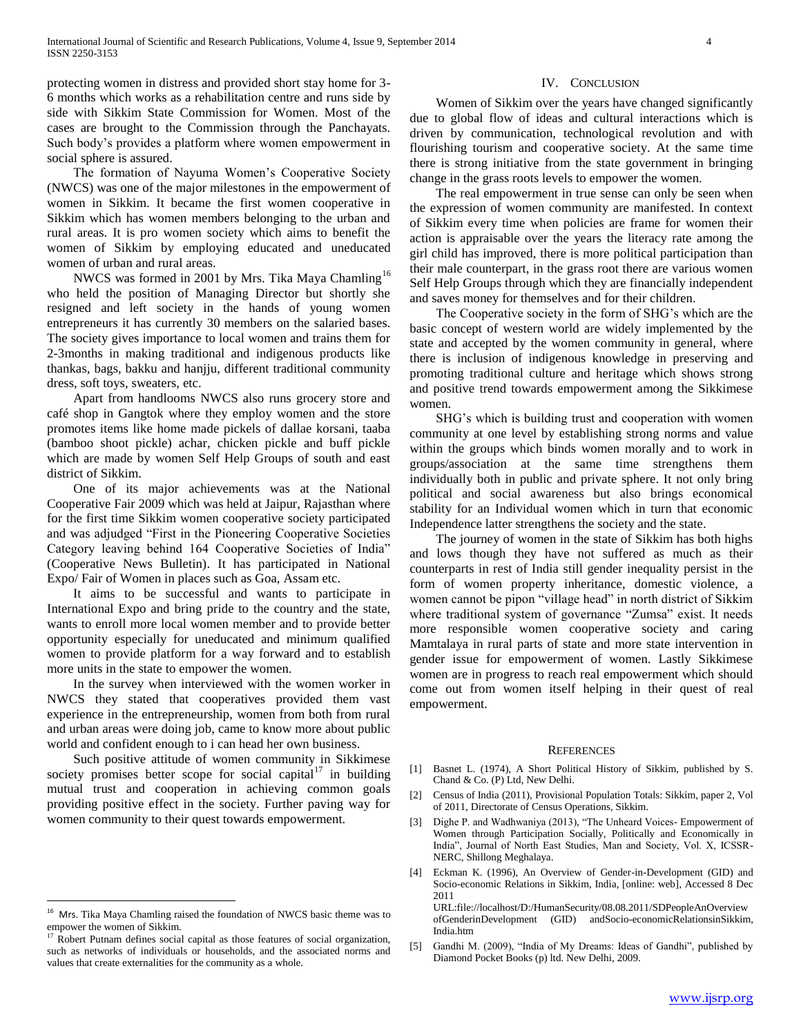protecting women in distress and provided short stay home for 3- 6 months which works as a rehabilitation centre and runs side by side with Sikkim State Commission for Women. Most of the cases are brought to the Commission through the Panchayats. Such body's provides a platform where women empowerment in social sphere is assured.

 The formation of Nayuma Women's Cooperative Society (NWCS) was one of the major milestones in the empowerment of women in Sikkim. It became the first women cooperative in Sikkim which has women members belonging to the urban and rural areas. It is pro women society which aims to benefit the women of Sikkim by employing educated and uneducated women of urban and rural areas.

NWCS was formed in 2001 by Mrs. Tika Maya Chamling<sup>16</sup> who held the position of Managing Director but shortly she resigned and left society in the hands of young women entrepreneurs it has currently 30 members on the salaried bases. The society gives importance to local women and trains them for 2-3months in making traditional and indigenous products like thankas, bags, bakku and hanjju, different traditional community dress, soft toys, sweaters, etc.

 Apart from handlooms NWCS also runs grocery store and café shop in Gangtok where they employ women and the store promotes items like home made pickels of dallae korsani, taaba (bamboo shoot pickle) achar, chicken pickle and buff pickle which are made by women Self Help Groups of south and east district of Sikkim.

 One of its major achievements was at the National Cooperative Fair 2009 which was held at Jaipur, Rajasthan where for the first time Sikkim women cooperative society participated and was adjudged "First in the Pioneering Cooperative Societies Category leaving behind 164 Cooperative Societies of India" (Cooperative News Bulletin). It has participated in National Expo/ Fair of Women in places such as Goa, Assam etc.

 It aims to be successful and wants to participate in International Expo and bring pride to the country and the state, wants to enroll more local women member and to provide better opportunity especially for uneducated and minimum qualified women to provide platform for a way forward and to establish more units in the state to empower the women.

 In the survey when interviewed with the women worker in NWCS they stated that cooperatives provided them vast experience in the entrepreneurship, women from both from rural and urban areas were doing job, came to know more about public world and confident enough to i can head her own business.

 Such positive attitude of women community in Sikkimese society promises better scope for social capital $17$  in building mutual trust and cooperation in achieving common goals providing positive effect in the society. Further paving way for women community to their quest towards empowerment.

 $\overline{a}$ 

#### IV. CONCLUSION

 Women of Sikkim over the years have changed significantly due to global flow of ideas and cultural interactions which is driven by communication, technological revolution and with flourishing tourism and cooperative society. At the same time there is strong initiative from the state government in bringing change in the grass roots levels to empower the women.

 The real empowerment in true sense can only be seen when the expression of women community are manifested. In context of Sikkim every time when policies are frame for women their action is appraisable over the years the literacy rate among the girl child has improved, there is more political participation than their male counterpart, in the grass root there are various women Self Help Groups through which they are financially independent and saves money for themselves and for their children.

 The Cooperative society in the form of SHG's which are the basic concept of western world are widely implemented by the state and accepted by the women community in general, where there is inclusion of indigenous knowledge in preserving and promoting traditional culture and heritage which shows strong and positive trend towards empowerment among the Sikkimese women.

 SHG's which is building trust and cooperation with women community at one level by establishing strong norms and value within the groups which binds women morally and to work in groups/association at the same time strengthens them individually both in public and private sphere. It not only bring political and social awareness but also brings economical stability for an Individual women which in turn that economic Independence latter strengthens the society and the state.

 The journey of women in the state of Sikkim has both highs and lows though they have not suffered as much as their counterparts in rest of India still gender inequality persist in the form of women property inheritance, domestic violence, a women cannot be pipon "village head" in north district of Sikkim where traditional system of governance "Zumsa" exist. It needs more responsible women cooperative society and caring Mamtalaya in rural parts of state and more state intervention in gender issue for empowerment of women. Lastly Sikkimese women are in progress to reach real empowerment which should come out from women itself helping in their quest of real empowerment.

#### REFERENCES

- [1] Basnet L. (1974), A Short Political History of Sikkim, published by S. Chand & Co. (P) Ltd, New Delhi.
- [2] Census of India (2011), Provisional Population Totals: Sikkim, paper 2, Vol of 2011, Directorate of Census Operations, Sikkim.
- [3] Dighe P. and Wadhwaniya (2013), "The Unheard Voices- Empowerment of Women through Participation Socially, Politically and Economically in India", Journal of North East Studies, Man and Society, Vol. X, ICSSR-NERC, Shillong Meghalaya.
- [4] Eckman K. (1996), An Overview of Gender-in-Development (GID) and Socio-economic Relations in Sikkim, India, [online: web], Accessed 8 Dec 2011 URL:file://localhost/D:/HumanSecurity/08.08.2011/SDPeopleAnOverview

ofGenderinDevelopment (GID) andSocio-economicRelationsinSikkim, India.htm

[5] Gandhi M. (2009), "India of My Dreams: Ideas of Gandhi", published by Diamond Pocket Books (p) ltd. New Delhi, 2009.

<sup>&</sup>lt;sup>16</sup> Mrs. Tika Maya Chamling raised the foundation of NWCS basic theme was to empower the women of Sikkim.

Robert Putnam defines social capital as those features of social organization, such as networks of individuals or households, and the associated norms and values that create externalities for the community as a whole.